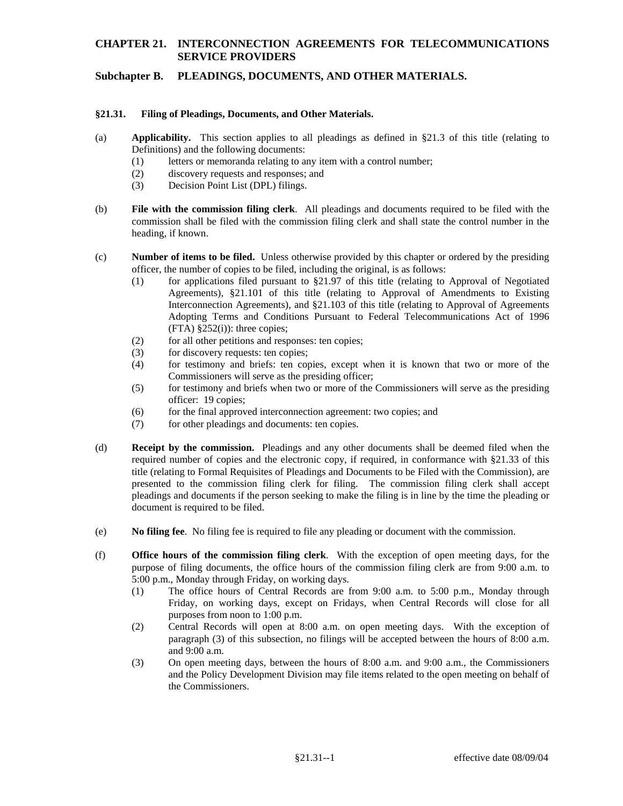# **CHAPTER 21. INTERCONNECTION AGREEMENTS FOR TELECOMMUNICATIONS SERVICE PROVIDERS**

### **Subchapter B. PLEADINGS, DOCUMENTS, AND OTHER MATERIALS.**

### **§21.31. Filing of Pleadings, Documents, and Other Materials.**

- (a) **Applicability.** This section applies to all pleadings as defined in §21.3 of this title (relating to Definitions) and the following documents:
	- (1) letters or memoranda relating to any item with a control number;
	- (2) discovery requests and responses; and
	- (3) Decision Point List (DPL) filings.
- (b) **File with the commission filing clerk**. All pleadings and documents required to be filed with the commission shall be filed with the commission filing clerk and shall state the control number in the heading, if known.
- (c) **Number of items to be filed.** Unless otherwise provided by this chapter or ordered by the presiding officer, the number of copies to be filed, including the original, is as follows:
	- (1) for applications filed pursuant to  $\S21.97$  of this title (relating to Approval of Negotiated Agreements), §21.101 of this title (relating to Approval of Amendments to Existing Interconnection Agreements), and §21.103 of this title (relating to Approval of Agreements Adopting Terms and Conditions Pursuant to Federal Telecommunications Act of 1996  $(FTA)$  §252(i)): three copies;
	- (2) for all other petitions and responses: ten copies;
	- (3) for discovery requests: ten copies;
	- (4) for testimony and briefs: ten copies, except when it is known that two or more of the Commissioners will serve as the presiding officer;
	- (5) for testimony and briefs when two or more of the Commissioners will serve as the presiding officer: 19 copies;
	- (6) for the final approved interconnection agreement: two copies; and
	- (7) for other pleadings and documents: ten copies.
- (d) **Receipt by the commission.** Pleadings and any other documents shall be deemed filed when the required number of copies and the electronic copy, if required, in conformance with §21.33 of this title (relating to Formal Requisites of Pleadings and Documents to be Filed with the Commission), are presented to the commission filing clerk for filing. The commission filing clerk shall accept pleadings and documents if the person seeking to make the filing is in line by the time the pleading or document is required to be filed.
- (e) **No filing fee**. No filing fee is required to file any pleading or document with the commission.
- (f) **Office hours of the commission filing clerk**. With the exception of open meeting days, for the purpose of filing documents, the office hours of the commission filing clerk are from 9:00 a.m. to 5:00 p.m., Monday through Friday, on working days.
	- (1) The office hours of Central Records are from 9:00 a.m. to 5:00 p.m., Monday through Friday, on working days, except on Fridays, when Central Records will close for all purposes from noon to 1:00 p.m.
	- (2) Central Records will open at 8:00 a.m. on open meeting days. With the exception of paragraph (3) of this subsection, no filings will be accepted between the hours of 8:00 a.m. and 9:00 a.m.
	- (3) On open meeting days, between the hours of 8:00 a.m. and 9:00 a.m., the Commissioners and the Policy Development Division may file items related to the open meeting on behalf of the Commissioners.